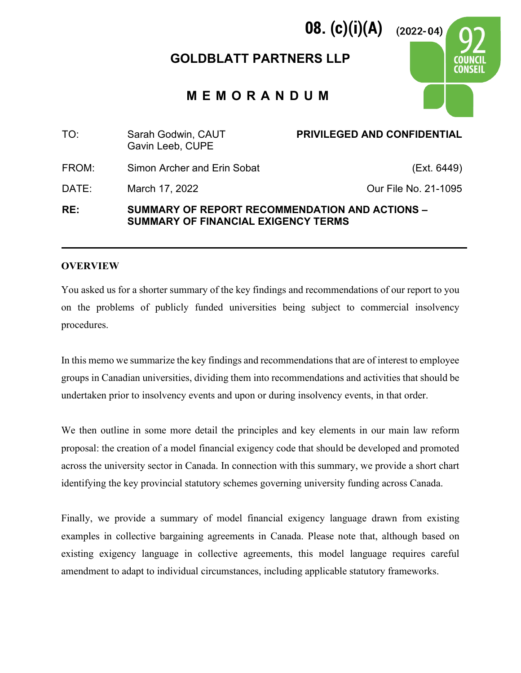# **GOLDBLATT PARTNERS LLP**

**08. (c)(i)(A)**

 $(2022 - 04)$ 

**MEMORANDUM**

| TO:   | Sarah Godwin, CAUT<br>Gavin Leeb, CUPE                                                       | <b>PRIVILEGED AND CONFIDENTIAL</b> |  |
|-------|----------------------------------------------------------------------------------------------|------------------------------------|--|
| FROM: | Simon Archer and Erin Sobat                                                                  | (Ext. 6449)                        |  |
| DATE: | March 17, 2022                                                                               | Our File No. 21-1095               |  |
| RE:   | SUMMARY OF REPORT RECOMMENDATION AND ACTIONS -<br><b>SUMMARY OF FINANCIAL EXIGENCY TERMS</b> |                                    |  |

#### **OVERVIEW**

You asked us for a shorter summary of the key findings and recommendations of our report to you on the problems of publicly funded universities being subject to commercial insolvency procedures.

In this memo we summarize the key findings and recommendations that are of interest to employee groups in Canadian universities, dividing them into recommendations and activities that should be undertaken prior to insolvency events and upon or during insolvency events, in that order.

We then outline in some more detail the principles and key elements in our main law reform proposal: the creation of a model financial exigency code that should be developed and promoted across the university sector in Canada. In connection with this summary, we provide a short chart identifying the key provincial statutory schemes governing university funding across Canada.

Finally, we provide a summary of model financial exigency language drawn from existing examples in collective bargaining agreements in Canada. Please note that, although based on existing exigency language in collective agreements, this model language requires careful amendment to adapt to individual circumstances, including applicable statutory frameworks.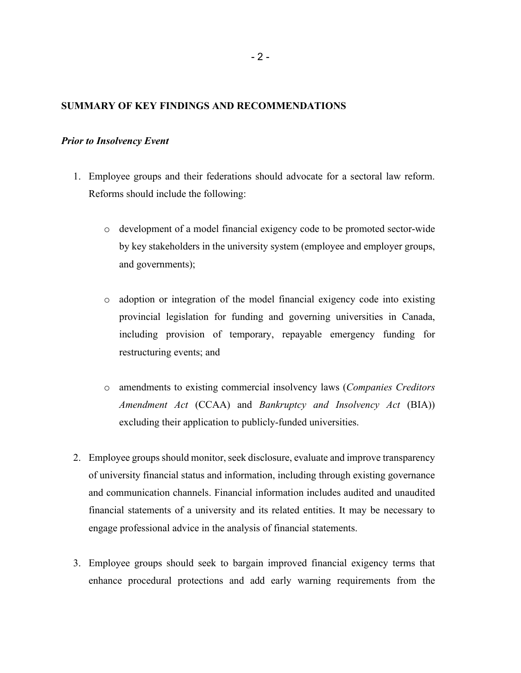#### **SUMMARY OF KEY FINDINGS AND RECOMMENDATIONS**

#### *Prior to Insolvency Event*

- 1. Employee groups and their federations should advocate for a sectoral law reform. Reforms should include the following:
	- o development of a model financial exigency code to be promoted sector-wide by key stakeholders in the university system (employee and employer groups, and governments);
	- o adoption or integration of the model financial exigency code into existing provincial legislation for funding and governing universities in Canada, including provision of temporary, repayable emergency funding for restructuring events; and
	- o amendments to existing commercial insolvency laws (*Companies Creditors Amendment Act* (CCAA) and *Bankruptcy and Insolvency Act* (BIA)) excluding their application to publicly-funded universities.
- 2. Employee groups should monitor, seek disclosure, evaluate and improve transparency of university financial status and information, including through existing governance and communication channels. Financial information includes audited and unaudited financial statements of a university and its related entities. It may be necessary to engage professional advice in the analysis of financial statements.
- 3. Employee groups should seek to bargain improved financial exigency terms that enhance procedural protections and add early warning requirements from the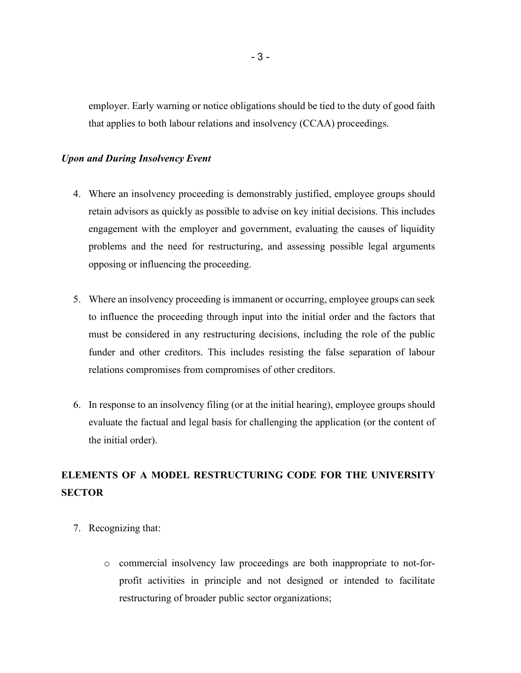employer. Early warning or notice obligations should be tied to the duty of good faith that applies to both labour relations and insolvency (CCAA) proceedings.

#### *Upon and During Insolvency Event*

- 4. Where an insolvency proceeding is demonstrably justified, employee groups should retain advisors as quickly as possible to advise on key initial decisions. This includes engagement with the employer and government, evaluating the causes of liquidity problems and the need for restructuring, and assessing possible legal arguments opposing or influencing the proceeding.
- 5. Where an insolvency proceeding is immanent or occurring, employee groups can seek to influence the proceeding through input into the initial order and the factors that must be considered in any restructuring decisions, including the role of the public funder and other creditors. This includes resisting the false separation of labour relations compromises from compromises of other creditors.
- 6. In response to an insolvency filing (or at the initial hearing), employee groups should evaluate the factual and legal basis for challenging the application (or the content of the initial order).

# **ELEMENTS OF A MODEL RESTRUCTURING CODE FOR THE UNIVERSITY SECTOR**

- 7. Recognizing that:
	- o commercial insolvency law proceedings are both inappropriate to not-forprofit activities in principle and not designed or intended to facilitate restructuring of broader public sector organizations;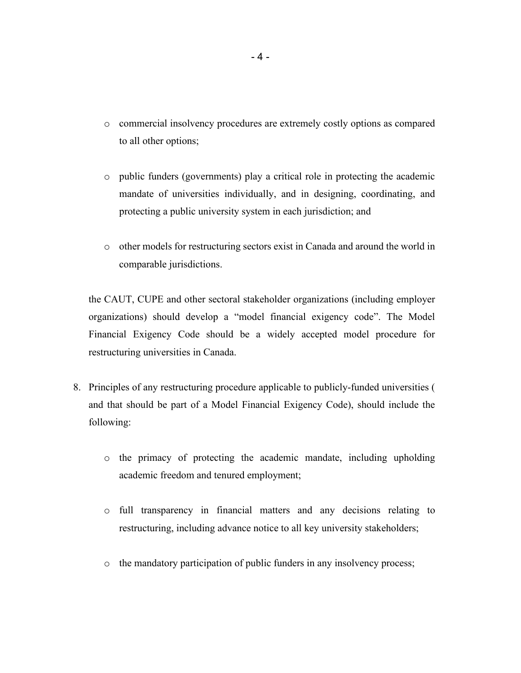- o commercial insolvency procedures are extremely costly options as compared to all other options;
- o public funders (governments) play a critical role in protecting the academic mandate of universities individually, and in designing, coordinating, and protecting a public university system in each jurisdiction; and
- o other models for restructuring sectors exist in Canada and around the world in comparable jurisdictions.

the CAUT, CUPE and other sectoral stakeholder organizations (including employer organizations) should develop a "model financial exigency code". The Model Financial Exigency Code should be a widely accepted model procedure for restructuring universities in Canada.

- 8. Principles of any restructuring procedure applicable to publicly-funded universities ( and that should be part of a Model Financial Exigency Code), should include the following:
	- o the primacy of protecting the academic mandate, including upholding academic freedom and tenured employment;
	- o full transparency in financial matters and any decisions relating to restructuring, including advance notice to all key university stakeholders;
	- o the mandatory participation of public funders in any insolvency process;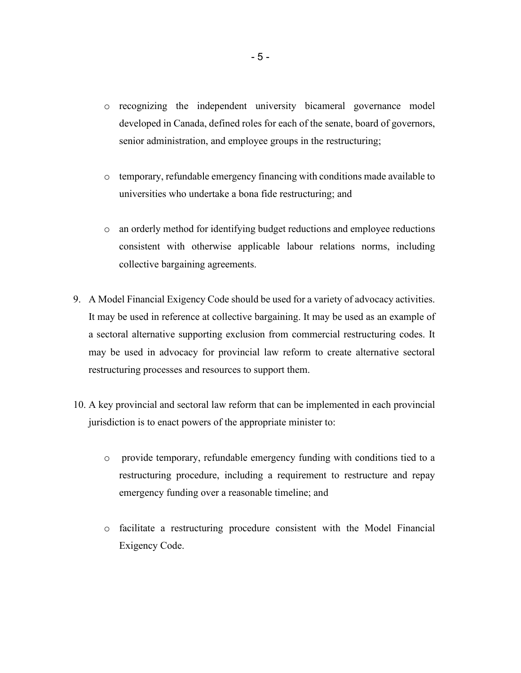- o recognizing the independent university bicameral governance model developed in Canada, defined roles for each of the senate, board of governors, senior administration, and employee groups in the restructuring;
- o temporary, refundable emergency financing with conditions made available to universities who undertake a bona fide restructuring; and
- o an orderly method for identifying budget reductions and employee reductions consistent with otherwise applicable labour relations norms, including collective bargaining agreements.
- 9. A Model Financial Exigency Code should be used for a variety of advocacy activities. It may be used in reference at collective bargaining. It may be used as an example of a sectoral alternative supporting exclusion from commercial restructuring codes. It may be used in advocacy for provincial law reform to create alternative sectoral restructuring processes and resources to support them.
- 10. A key provincial and sectoral law reform that can be implemented in each provincial jurisdiction is to enact powers of the appropriate minister to:
	- o provide temporary, refundable emergency funding with conditions tied to a restructuring procedure, including a requirement to restructure and repay emergency funding over a reasonable timeline; and
	- o facilitate a restructuring procedure consistent with the Model Financial Exigency Code.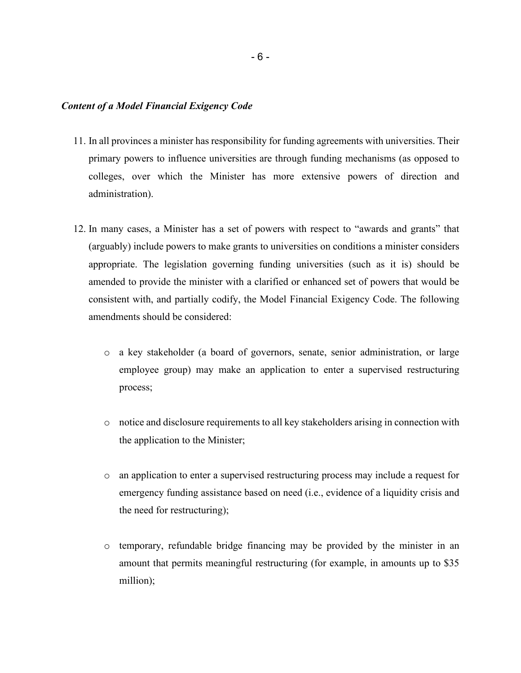#### *Content of a Model Financial Exigency Code*

- 11. In all provinces a minister has responsibility for funding agreements with universities. Their primary powers to influence universities are through funding mechanisms (as opposed to colleges, over which the Minister has more extensive powers of direction and administration).
- 12. In many cases, a Minister has a set of powers with respect to "awards and grants" that (arguably) include powers to make grants to universities on conditions a minister considers appropriate. The legislation governing funding universities (such as it is) should be amended to provide the minister with a clarified or enhanced set of powers that would be consistent with, and partially codify, the Model Financial Exigency Code. The following amendments should be considered:
	- o a key stakeholder (a board of governors, senate, senior administration, or large employee group) may make an application to enter a supervised restructuring process;
	- o notice and disclosure requirements to all key stakeholders arising in connection with the application to the Minister;
	- o an application to enter a supervised restructuring process may include a request for emergency funding assistance based on need (i.e., evidence of a liquidity crisis and the need for restructuring);
	- o temporary, refundable bridge financing may be provided by the minister in an amount that permits meaningful restructuring (for example, in amounts up to \$35 million);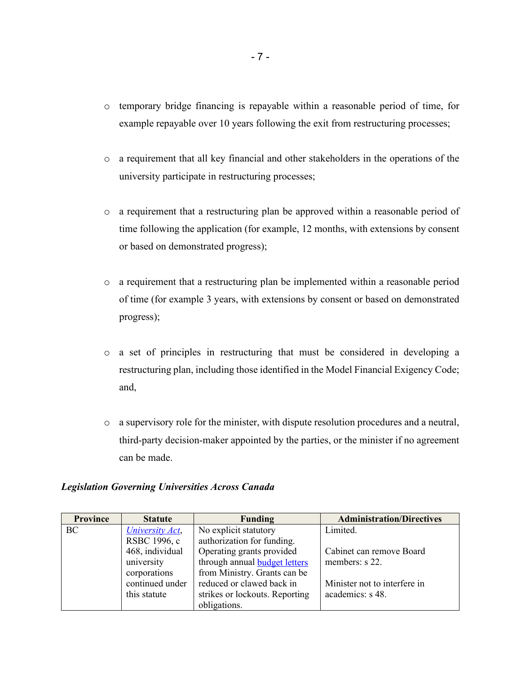- o temporary bridge financing is repayable within a reasonable period of time, for example repayable over 10 years following the exit from restructuring processes;
- o a requirement that all key financial and other stakeholders in the operations of the university participate in restructuring processes;
- o a requirement that a restructuring plan be approved within a reasonable period of time following the application (for example, 12 months, with extensions by consent or based on demonstrated progress);
- o a requirement that a restructuring plan be implemented within a reasonable period of time (for example 3 years, with extensions by consent or based on demonstrated progress);
- o a set of principles in restructuring that must be considered in developing a restructuring plan, including those identified in the Model Financial Exigency Code; and,
- o a supervisory role for the minister, with dispute resolution procedures and a neutral, third-party decision-maker appointed by the parties, or the minister if no agreement can be made.

#### *Legislation Governing Universities Across Canada*

| <b>Province</b> | <b>Statute</b>  | <b>Funding</b>                 | <b>Administration/Directives</b> |
|-----------------|-----------------|--------------------------------|----------------------------------|
| BC              | University Act, | No explicit statutory          | Limited.                         |
|                 | RSBC 1996, c    | authorization for funding.     |                                  |
|                 | 468, individual | Operating grants provided      | Cabinet can remove Board         |
|                 | university      | through annual budget letters  | members: s 22.                   |
|                 | corporations    | from Ministry. Grants can be   |                                  |
|                 | continued under | reduced or clawed back in      | Minister not to interfere in     |
|                 | this statute    | strikes or lockouts. Reporting | academics: s 48.                 |
|                 |                 | obligations.                   |                                  |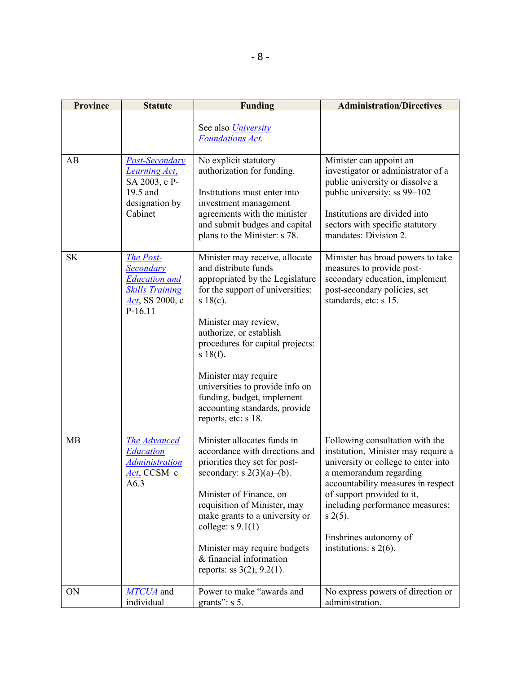| <b>Province</b> | <b>Statute</b>                                                                                              | <b>Funding</b>                                                                                                                                                                                                                                                                                                                                                                                                | <b>Administration/Directives</b>                                                                                                                                                                                                                                                                                    |
|-----------------|-------------------------------------------------------------------------------------------------------------|---------------------------------------------------------------------------------------------------------------------------------------------------------------------------------------------------------------------------------------------------------------------------------------------------------------------------------------------------------------------------------------------------------------|---------------------------------------------------------------------------------------------------------------------------------------------------------------------------------------------------------------------------------------------------------------------------------------------------------------------|
|                 |                                                                                                             | See also <i>University</i><br><b>Foundations Act.</b>                                                                                                                                                                                                                                                                                                                                                         |                                                                                                                                                                                                                                                                                                                     |
| AB              | <b>Post-Secondary</b><br><b>Learning Act,</b><br>SA 2003, c P-<br>19.5 and<br>designation by<br>Cabinet     | No explicit statutory<br>authorization for funding.<br>Institutions must enter into<br>investment management<br>agreements with the minister<br>and submit budges and capital<br>plans to the Minister: s 78.                                                                                                                                                                                                 | Minister can appoint an<br>investigator or administrator of a<br>public university or dissolve a<br>public university: ss 99-102<br>Institutions are divided into<br>sectors with specific statutory<br>mandates: Division 2.                                                                                       |
| <b>SK</b>       | The Post-<br>Secondary<br><b>Education</b> and<br><b>Skills Training</b><br>$Act$ , SS 2000, c<br>$P-16.11$ | Minister may receive, allocate<br>and distribute funds<br>appropriated by the Legislature<br>for the support of universities:<br>s $18(c)$ .<br>Minister may review,<br>authorize, or establish<br>procedures for capital projects:<br>$s \frac{18(f)}{f}$ .<br>Minister may require<br>universities to provide info on<br>funding, budget, implement<br>accounting standards, provide<br>reports, etc: s 18. | Minister has broad powers to take<br>measures to provide post-<br>secondary education, implement<br>post-secondary policies, set<br>standards, etc: s 15.                                                                                                                                                           |
| MB              | The Advanced<br>Education<br><b>Administration</b><br>Act, CCSM c<br>A6.3                                   | Minister allocates funds in<br>accordance with directions and<br>priorities they set for post-<br>secondary: $s \ 2(3)(a)$ –(b).<br>Minister of Finance, on<br>requisition of Minister, may<br>make grants to a university or<br>college: $s$ 9.1(1)<br>Minister may require budgets<br>& financial information<br>reports: ss $3(2)$ , $9.2(1)$ .                                                            | Following consultation with the<br>institution, Minister may require a<br>university or college to enter into<br>a memorandum regarding<br>accountability measures in respect<br>of support provided to it,<br>including performance measures:<br>$s \; 2(5)$ .<br>Enshrines autonomy of<br>institutions: $s$ 2(6). |
| ON              | MTCUA and<br>individual                                                                                     | Power to make "awards and<br>grants": $s$ 5.                                                                                                                                                                                                                                                                                                                                                                  | No express powers of direction or<br>administration.                                                                                                                                                                                                                                                                |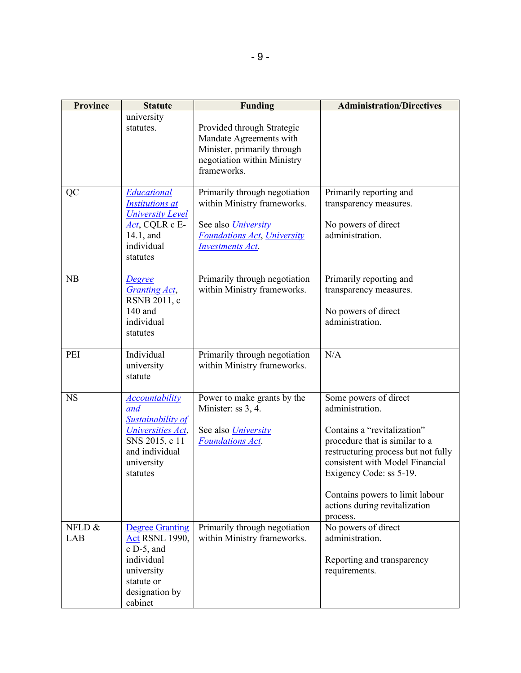| Province      | <b>Statute</b>                                                                                                                         | <b>Funding</b>                                                                                                                                              | <b>Administration/Directives</b>                                                                                                                                                                                                                                                               |
|---------------|----------------------------------------------------------------------------------------------------------------------------------------|-------------------------------------------------------------------------------------------------------------------------------------------------------------|------------------------------------------------------------------------------------------------------------------------------------------------------------------------------------------------------------------------------------------------------------------------------------------------|
|               | university<br>statutes.                                                                                                                | Provided through Strategic<br>Mandate Agreements with<br>Minister, primarily through<br>negotiation within Ministry<br>frameworks.                          |                                                                                                                                                                                                                                                                                                |
| QC            | Educational<br><b>Institutions at</b><br><b>University Level</b><br>Act, CQLR c E-<br>14.1, and<br>individual<br>statutes              | Primarily through negotiation<br>within Ministry frameworks.<br>See also <i>University</i><br><b>Foundations Act, University</b><br><b>Investments Act.</b> | Primarily reporting and<br>transparency measures.<br>No powers of direct<br>administration.                                                                                                                                                                                                    |
| NB            | <b>Degree</b><br><b>Granting Act,</b><br>RSNB 2011, c<br>140 and<br>individual<br>statutes                                             | Primarily through negotiation<br>within Ministry frameworks.                                                                                                | Primarily reporting and<br>transparency measures.<br>No powers of direct<br>administration.                                                                                                                                                                                                    |
| PEI           | Individual<br>university<br>statute                                                                                                    | Primarily through negotiation<br>within Ministry frameworks.                                                                                                | N/A                                                                                                                                                                                                                                                                                            |
| <b>NS</b>     | <b>Accountability</b><br>and<br>Sustainability of<br>Universities Act,<br>SNS 2015, c 11<br>and individual<br>university<br>statutes   | Power to make grants by the<br>Minister: ss 3, 4.<br>See also <i>University</i><br><b>Foundations Act.</b>                                                  | Some powers of direct<br>administration.<br>Contains a "revitalization"<br>procedure that is similar to a<br>restructuring process but not fully<br>consistent with Model Financial<br>Exigency Code: ss 5-19.<br>Contains powers to limit labour<br>actions during revitalization<br>process. |
| NFLD &<br>LAB | <b>Degree Granting</b><br><b>Act RSNL 1990,</b><br>$c$ D-5, and<br>individual<br>university<br>statute or<br>designation by<br>cabinet | Primarily through negotiation<br>within Ministry frameworks.                                                                                                | No powers of direct<br>administration.<br>Reporting and transparency<br>requirements.                                                                                                                                                                                                          |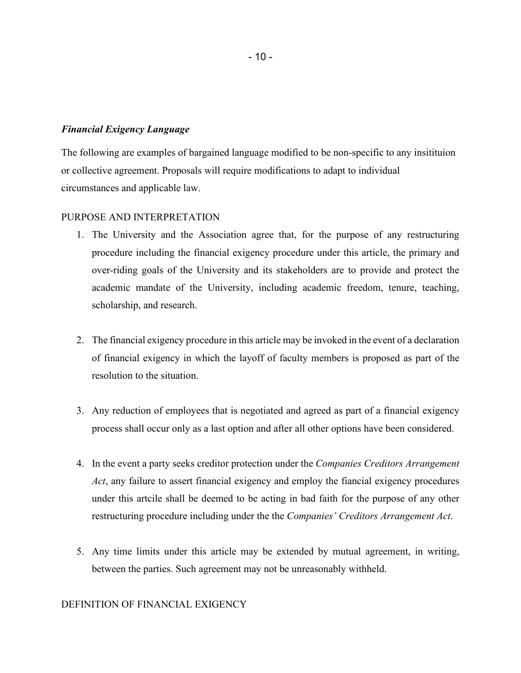#### *Financial Exigency Language*

The following are examples of bargained language modified to be non-specific to any insitituion or collective agreement. Proposals will require modifications to adapt to individual circumstances and applicable law.

## PURPOSE AND INTERPRETATION

- 1. The University and the Association agree that, for the purpose of any restructuring procedure including the financial exigency procedure under this article, the primary and over-riding goals of the University and its stakeholders are to provide and protect the academic mandate of the University, including academic freedom, tenure, teaching, scholarship, and research.
- 2. The financial exigency procedure in this article may be invoked in the event of a declaration of financial exigency in which the layoff of faculty members is proposed as part of the resolution to the situation.
- 3. Any reduction of employees that is negotiated and agreed as part of a financial exigency process shall occur only as a last option and after all other options have been considered.
- 4. In the event a party seeks creditor protection under the *Companies Creditors Arrangement Act*, any failure to assert financial exigency and employ the fiancial exigency procedures under this artcile shall be deemed to be acting in bad faith for the purpose of any other restructuring procedure including under the the *Companies' Creditors Arrangement Act*.
- 5. Any time limits under this article may be extended by mutual agreement, in writing, between the parties. Such agreement may not be unreasonably withheld.

#### DEFINITION OF FINANCIAL EXIGENCY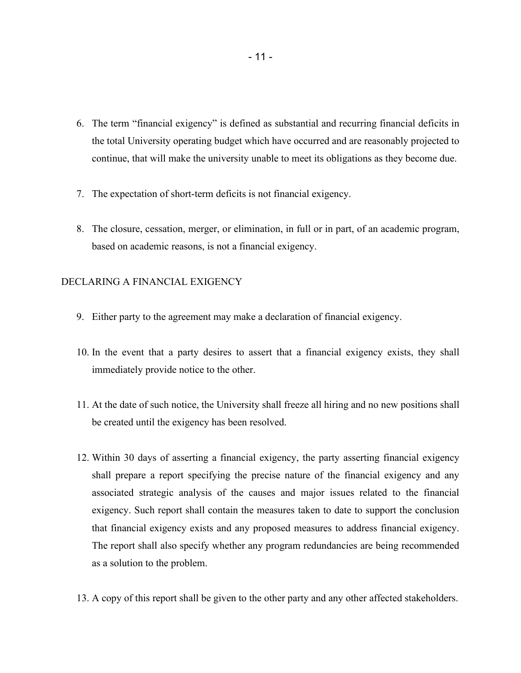- 6. The term "financial exigency" is defined as substantial and recurring financial deficits in the total University operating budget which have occurred and are reasonably projected to continue, that will make the university unable to meet its obligations as they become due.
- 7. The expectation of short-term deficits is not financial exigency.
- 8. The closure, cessation, merger, or elimination, in full or in part, of an academic program, based on academic reasons, is not a financial exigency.

### DECLARING A FINANCIAL EXIGENCY

- 9. Either party to the agreement may make a declaration of financial exigency.
- 10. In the event that a party desires to assert that a financial exigency exists, they shall immediately provide notice to the other.
- 11. At the date of such notice, the University shall freeze all hiring and no new positions shall be created until the exigency has been resolved.
- 12. Within 30 days of asserting a financial exigency, the party asserting financial exigency shall prepare a report specifying the precise nature of the financial exigency and any associated strategic analysis of the causes and major issues related to the financial exigency. Such report shall contain the measures taken to date to support the conclusion that financial exigency exists and any proposed measures to address financial exigency. The report shall also specify whether any program redundancies are being recommended as a solution to the problem.
- 13. A copy of this report shall be given to the other party and any other affected stakeholders.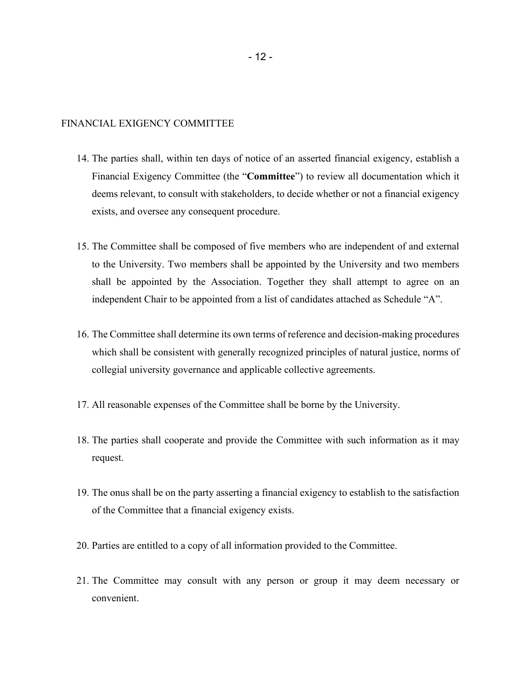#### FINANCIAL EXIGENCY COMMITTEE

- 14. The parties shall, within ten days of notice of an asserted financial exigency, establish a Financial Exigency Committee (the "**Committee**") to review all documentation which it deems relevant, to consult with stakeholders, to decide whether or not a financial exigency exists, and oversee any consequent procedure.
- 15. The Committee shall be composed of five members who are independent of and external to the University. Two members shall be appointed by the University and two members shall be appointed by the Association. Together they shall attempt to agree on an independent Chair to be appointed from a list of candidates attached as Schedule "A".
- 16. The Committee shall determine its own terms of reference and decision-making procedures which shall be consistent with generally recognized principles of natural justice, norms of collegial university governance and applicable collective agreements.
- 17. All reasonable expenses of the Committee shall be borne by the University.
- 18. The parties shall cooperate and provide the Committee with such information as it may request.
- 19. The onus shall be on the party asserting a financial exigency to establish to the satisfaction of the Committee that a financial exigency exists.
- 20. Parties are entitled to a copy of all information provided to the Committee.
- 21. The Committee may consult with any person or group it may deem necessary or convenient.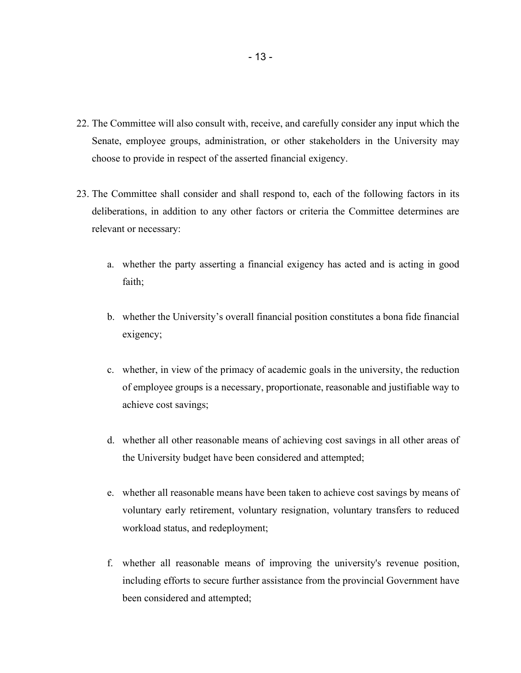- 22. The Committee will also consult with, receive, and carefully consider any input which the Senate, employee groups, administration, or other stakeholders in the University may choose to provide in respect of the asserted financial exigency.
- 23. The Committee shall consider and shall respond to, each of the following factors in its deliberations, in addition to any other factors or criteria the Committee determines are relevant or necessary:
	- a. whether the party asserting a financial exigency has acted and is acting in good faith;
	- b. whether the University's overall financial position constitutes a bona fide financial exigency;
	- c. whether, in view of the primacy of academic goals in the university, the reduction of employee groups is a necessary, proportionate, reasonable and justifiable way to achieve cost savings;
	- d. whether all other reasonable means of achieving cost savings in all other areas of the University budget have been considered and attempted;
	- e. whether all reasonable means have been taken to achieve cost savings by means of voluntary early retirement, voluntary resignation, voluntary transfers to reduced workload status, and redeployment;
	- f. whether all reasonable means of improving the university's revenue position, including efforts to secure further assistance from the provincial Government have been considered and attempted;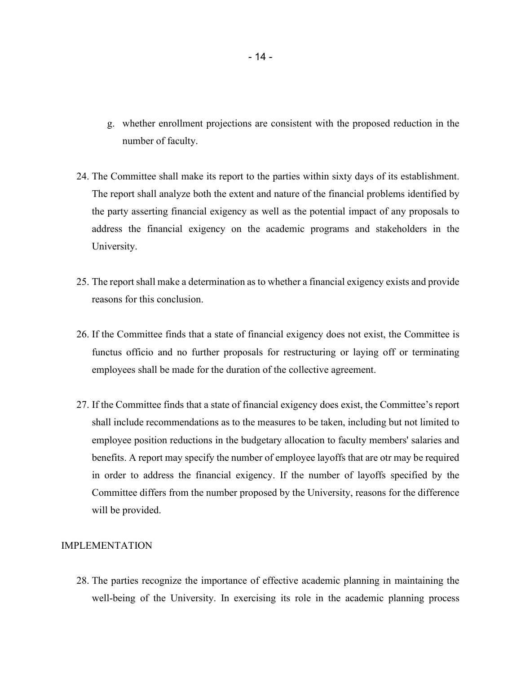- g. whether enrollment projections are consistent with the proposed reduction in the number of faculty.
- 24. The Committee shall make its report to the parties within sixty days of its establishment. The report shall analyze both the extent and nature of the financial problems identified by the party asserting financial exigency as well as the potential impact of any proposals to address the financial exigency on the academic programs and stakeholders in the University.
- 25. The report shall make a determination as to whether a financial exigency exists and provide reasons for this conclusion.
- 26. If the Committee finds that a state of financial exigency does not exist, the Committee is functus officio and no further proposals for restructuring or laying off or terminating employees shall be made for the duration of the collective agreement.
- 27. If the Committee finds that a state of financial exigency does exist, the Committee's report shall include recommendations as to the measures to be taken, including but not limited to employee position reductions in the budgetary allocation to faculty members' salaries and benefits. A report may specify the number of employee layoffs that are otr may be required in order to address the financial exigency. If the number of layoffs specified by the Committee differs from the number proposed by the University, reasons for the difference will be provided.

#### IMPLEMENTATION

28. The parties recognize the importance of effective academic planning in maintaining the well-being of the University. In exercising its role in the academic planning process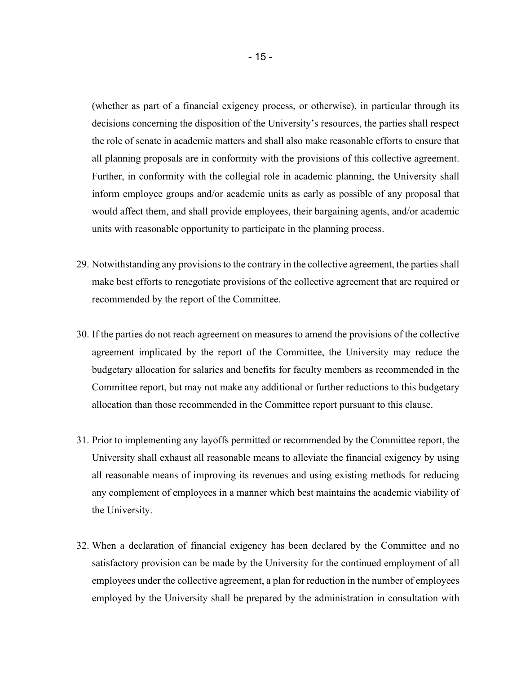(whether as part of a financial exigency process, or otherwise), in particular through its decisions concerning the disposition of the University's resources, the parties shall respect the role of senate in academic matters and shall also make reasonable efforts to ensure that all planning proposals are in conformity with the provisions of this collective agreement. Further, in conformity with the collegial role in academic planning, the University shall inform employee groups and/or academic units as early as possible of any proposal that would affect them, and shall provide employees, their bargaining agents, and/or academic units with reasonable opportunity to participate in the planning process.

- 29. Notwithstanding any provisions to the contrary in the collective agreement, the parties shall make best efforts to renegotiate provisions of the collective agreement that are required or recommended by the report of the Committee.
- 30. If the parties do not reach agreement on measures to amend the provisions of the collective agreement implicated by the report of the Committee, the University may reduce the budgetary allocation for salaries and benefits for faculty members as recommended in the Committee report, but may not make any additional or further reductions to this budgetary allocation than those recommended in the Committee report pursuant to this clause.
- 31. Prior to implementing any layoffs permitted or recommended by the Committee report, the University shall exhaust all reasonable means to alleviate the financial exigency by using all reasonable means of improving its revenues and using existing methods for reducing any complement of employees in a manner which best maintains the academic viability of the University.
- 32. When a declaration of financial exigency has been declared by the Committee and no satisfactory provision can be made by the University for the continued employment of all employees under the collective agreement, a plan for reduction in the number of employees employed by the University shall be prepared by the administration in consultation with